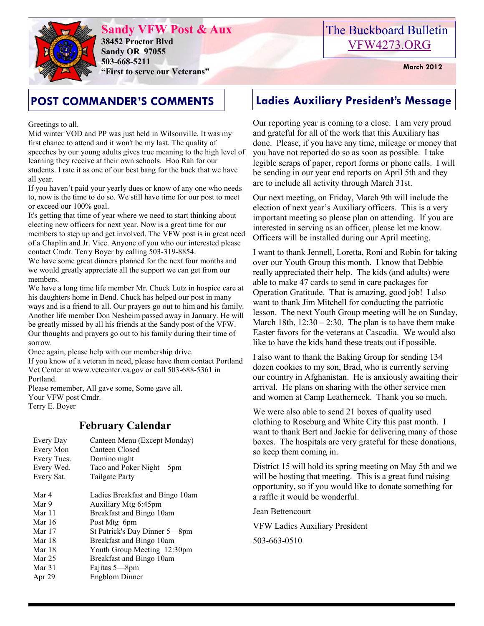

**Sandy VFW Post & Aux 38452 Proctor Blvd Sandy OR 97055 503-668-5211 EXECUTE:** March 2012<br> **March 2012**<br> **EXECUTE:** March 2012

Greetings to all.

Mid winter VOD and PP was just held in Wilsonville. It was my first chance to attend and it won't be my last. The quality of speeches by our young adults gives true meaning to the high level of learning they receive at their own schools. Hoo Rah for our students. I rate it as one of our best bang for the buck that we have all year.

If you haven't paid your yearly dues or know of any one who needs to, now is the time to do so. We still have time for our post to meet or exceed our 100% goal.

It's getting that time of year where we need to start thinking about electing new officers for next year. Now is a great time for our members to step up and get involved. The VFW post is in great need of a Chaplin and Jr. Vice. Anyone of you who our interested please contact Cmdr. Terry Boyer by calling 503-319-8854.

We have some great dinners planned for the next four months and we would greatly appreciate all the support we can get from our members.

We have a long time life member Mr. Chuck Lutz in hospice care at his daughters home in Bend. Chuck has helped our post in many ways and is a friend to all. Our prayers go out to him and his family. Another life member Don Nesheim passed away in January. He will be greatly missed by all his friends at the Sandy post of the VFW. Our thoughts and prayers go out to his family during their time of sorrow.

Once again, please help with our membership drive.

If you know of a veteran in need, please have them contact Portland Vet Center at www.vetcenter.va.gov or call 503-688-5361 in Portland.

Please remember, All gave some, Some gave all. Your VFW post Cmdr. Terry E. Boyer

# **February Calendar**

| Every Day<br>Every Mon<br>Every Tues.<br>Every Wed.<br>Every Sat. | Canteen Menu (Except Monday)<br>Canteen Closed<br>Domino night<br>Taco and Poker Night-5pm<br>Tailgate Party |
|-------------------------------------------------------------------|--------------------------------------------------------------------------------------------------------------|
| Mar 4                                                             | Ladies Breakfast and Bingo 10am                                                                              |
| Mar 9                                                             | Auxiliary Mtg 6:45pm                                                                                         |
| Mar 11                                                            | Breakfast and Bingo 10am                                                                                     |
| Mar 16                                                            | Post Mtg 6pm                                                                                                 |
| Mar 17                                                            | St Patrick's Day Dinner 5-8pm                                                                                |
| Mar 18                                                            | Breakfast and Bingo 10am                                                                                     |
| Mar 18                                                            | Youth Group Meeting 12:30pm                                                                                  |
| Mar 25                                                            | Breakfast and Bingo 10am                                                                                     |
| Mar 31                                                            | Fajitas 5—8pm                                                                                                |
| Apr 29                                                            | Engblom Dinner                                                                                               |
|                                                                   |                                                                                                              |

# The Buckboard Bulletin [VFW4273.ORG](http://vfw4273.org/)

# **POST COMMANDER'S COMMENTS Ladies Auxiliary President's Message**

Our reporting year is coming to a close. I am very proud and grateful for all of the work that this Auxiliary has done. Please, if you have any time, mileage or money that you have not reported do so as soon as possible. I take legible scraps of paper, report forms or phone calls. I will be sending in our year end reports on April 5th and they are to include all activity through March 31st.

Our next meeting, on Friday, March 9th will include the election of next year's Auxiliary officers. This is a very important meeting so please plan on attending. If you are interested in serving as an officer, please let me know. Officers will be installed during our April meeting.

I want to thank Jennell, Loretta, Roni and Robin for taking over our Youth Group this month. I know that Debbie really appreciated their help. The kids (and adults) were able to make 47 cards to send in care packages for Operation Gratitude. That is amazing, good job! I also want to thank Jim Mitchell for conducting the patriotic lesson. The next Youth Group meeting will be on Sunday, March 18th,  $12:30 - 2:30$ . The plan is to have them make Easter favors for the veterans at Cascadia. We would also like to have the kids hand these treats out if possible.

I also want to thank the Baking Group for sending 134 dozen cookies to my son, Brad, who is currently serving our country in Afghanistan. He is anxiously awaiting their arrival. He plans on sharing with the other service men and women at Camp Leatherneck. Thank you so much.

We were also able to send 21 boxes of quality used clothing to Roseburg and White City this past month. I want to thank Bert and Jackie for delivering many of those boxes. The hospitals are very grateful for these donations, so keep them coming in.

District 15 will hold its spring meeting on May 5th and we will be hosting that meeting. This is a great fund raising opportunity, so if you would like to donate something for a raffle it would be wonderful.

Jean Bettencourt

VFW Ladies Auxiliary President

503-663-0510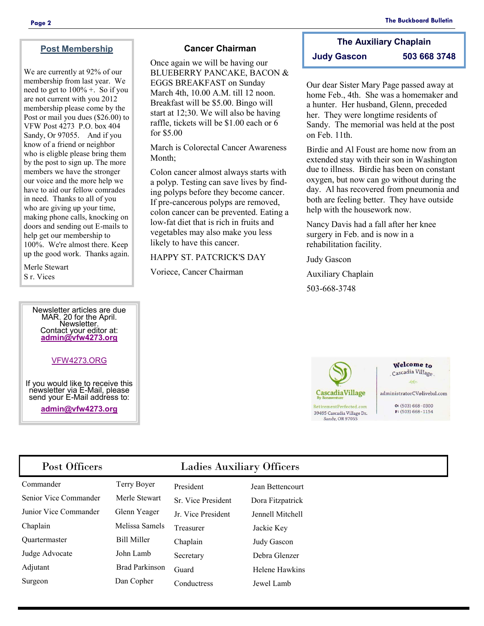## **Post Membership**

We are currently at 92% of our membership from last year. We need to get to  $100\%$  +. So if you are not current with you 2012 membership please come by the Post or mail you dues (\$26.00) to VFW Post 4273 P.O. box 404 Sandy, Or 97055. And if you know of a friend or neighbor who is eligble please bring them by the post to sign up. The more members we have the stronger our voice and the more help we have to aid our fellow comrades in need. Thanks to all of you who are giving up your time, making phone calls, knocking on doors and sending out E-mails to help get our membership to 100%. We're almost there. Keep up the good work. Thanks again.

Merle Stewart S r. Vices

### Newsletter articles are due MAR. 20 for the April. Newsletter. Contact your editor at: **[admin@vfw4273.org](mailto:admin@vfw4273.org)**

### [VFW4273.ORG](http://vfw4273.org/)

If you would like to receive this newsletter via E-Mail, please send your E-Mail address to:

**[admin@vfw4273.org](mailto:admin@vfw4273.org)**

## **Cancer Chairman**

Once again we will be having our BLUEBERRY PANCAKE, BACON & EGGS BREAKFAST on Sunday March 4th, 10.00 A.M. till 12 noon. Breakfast will be \$5.00. Bingo will start at 12;30. We will also be having raffle, tickets will be \$1.00 each or 6 for \$5.00

March is Colorectal Cancer Awareness Month;

Colon cancer almost always starts with a polyp. Testing can save lives by finding polyps before they become cancer. If pre-cancerous polyps are removed, colon cancer can be prevented. Eating a low-fat diet that is rich in fruits and vegetables may also make you less likely to have this cancer.

HAPPY ST. PATCRICK'S DAY

Voriece, Cancer Chairman

# **The Auxiliary Chaplain Judy Gascon 503 668 3748**

Our dear Sister Mary Page passed away at home Feb., 4th. She was a homemaker and a hunter. Her husband, Glenn, preceded her. They were longtime residents of Sandy. The memorial was held at the post on Feb. 11th.

Birdie and Al Foust are home now from an extended stay with their son in Washington due to illness. Birdie has been on constant oxygen, but now can go without during the day. Al has recovered from pneumonia and both are feeling better. They have outside help with the housework now.

Nancy Davis had a fall after her knee surgery in Feb. and is now in a rehabilitation facility.

Judy Gascon Auxiliary Chaplain 503-668-3748



Welcome to Cascadia Village

 $460$ 

administratorCV@livebsl.com

 $O: (503) 668 - 0300$  $F: (503) 668 - 1154$ 

# Post Officers Ladies Auxiliary Officers

| Commander             | Terry Boyer           | President          | Jean Bettencourt |
|-----------------------|-----------------------|--------------------|------------------|
| Senior Vice Commander | Merle Stewart         | Sr. Vice President | Dora Fitzpatrick |
| Junior Vice Commander | Glenn Yeager          | Jr. Vice President | Jennell Mitchell |
| Chaplain              | Melissa Samels        | Treasurer          | Jackie Key       |
| Quartermaster         | <b>Bill Miller</b>    | Chaplain           | Judy Gascon      |
| Judge Advocate        | John Lamb             | Secretary          | Debra Glenzer    |
| Adjutant              | <b>Brad Parkinson</b> | Guard              | Helene Hawkins   |
| Surgeon               | Dan Copher            | Conductress        | Jewel Lamb       |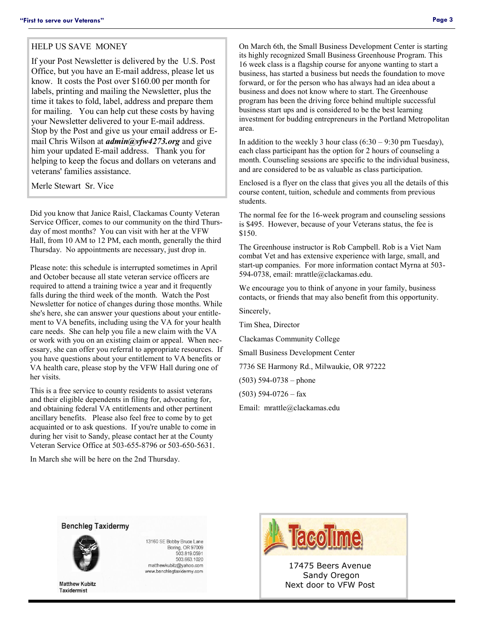### HELP US SAVE MONEY

If your Post Newsletter is delivered by the U.S. Post Office, but you have an E-mail address, please let us know. It costs the Post over \$160.00 per month for labels, printing and mailing the Newsletter, plus the time it takes to fold, label, address and prepare them for mailing. You can help cut these costs by having your Newsletter delivered to your E-mail address. Stop by the Post and give us your email address or Email Chris Wilson at *admin@vfw4273.org* and give him your updated E-mail address. Thank you for helping to keep the focus and dollars on veterans and veterans' families assistance.

Merle Stewart Sr. Vice

Did you know that Janice Raisl, Clackamas County Veteran Service Officer, comes to our community on the third Thursday of most months? You can visit with her at the VFW Hall, from 10 AM to 12 PM, each month, generally the third Thursday. No appointments are necessary, just drop in.

Please note: this schedule is interrupted sometimes in April and October because all state veteran service officers are required to attend a training twice a year and it frequently falls during the third week of the month. Watch the Post Newsletter for notice of changes during those months. While she's here, she can answer your questions about your entitlement to VA benefits, including using the VA for your health care needs. She can help you file a new claim with the VA or work with you on an existing claim or appeal. When necessary, she can offer you referral to appropriate resources. If you have questions about your entitlement to VA benefits or VA health care, please stop by the VFW Hall during one of her visits.

This is a free service to county residents to assist veterans and their eligible dependents in filing for, advocating for, and obtaining federal VA entitlements and other pertinent ancillary benefits. Please also feel free to come by to get acquainted or to ask questions. If you're unable to come in during her visit to Sandy, please contact her at the County Veteran Service Office at 503-655-8796 or 503-650-5631.

In March she will be here on the 2nd Thursday.

On March 6th, the Small Business Development Center is starting its highly recognized Small Business Greenhouse Program. This 16 week class is a flagship course for anyone wanting to start a business, has started a business but needs the foundation to move forward, or for the person who has always had an idea about a business and does not know where to start. The Greenhouse program has been the driving force behind multiple successful business start ups and is considered to be the best learning investment for budding entrepreneurs in the Portland Metropolitan area.

In addition to the weekly 3 hour class  $(6:30 - 9:30 \text{ pm}$  Tuesday), each class participant has the option for 2 hours of counseling a month. Counseling sessions are specific to the individual business, and are considered to be as valuable as class participation.

Enclosed is a flyer on the class that gives you all the details of this course content, tuition, schedule and comments from previous students.

The normal fee for the 16-week program and counseling sessions is \$495. However, because of your Veterans status, the fee is \$150.

The Greenhouse instructor is Rob Campbell. Rob is a Viet Nam combat Vet and has extensive experience with large, small, and start-up companies. For more information contact Myrna at 503- 594-0738, email: mrattle@clackamas.edu.

We encourage you to think of anyone in your family, business contacts, or friends that may also benefit from this opportunity.

Sincerely,

Tim Shea, Director

Clackamas Community College

Small Business Development Center

7736 SE Harmony Rd., Milwaukie, OR 97222

(503) 594-0738 – phone

 $(503)$  594-0726 – fax

Email: mrattle@clackamas.edu





**Matthew Kubitz Taxidermist** 

13160 SE Bobby Bruce Lane Boring, OR 97009 503.819.0591 503.663.1020 matthewkubitz@yahoo.com www.benchlegtaxidermy.com



17475 Beers Avenue Sandy Oregon Next door to VFW Post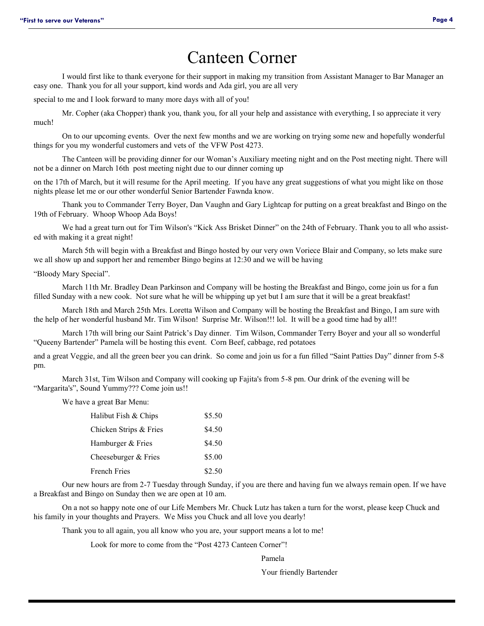# Canteen Corner

I would first like to thank everyone for their support in making my transition from Assistant Manager to Bar Manager an easy one. Thank you for all your support, kind words and Ada girl, you are all very

special to me and I look forward to many more days with all of you!

Mr. Copher (aka Chopper) thank you, thank you, for all your help and assistance with everything, I so appreciate it very much!

On to our upcoming events. Over the next few months and we are working on trying some new and hopefully wonderful things for you my wonderful customers and vets of the VFW Post 4273.

The Canteen will be providing dinner for our Woman's Auxiliary meeting night and on the Post meeting night. There will not be a dinner on March 16th post meeting night due to our dinner coming up

on the 17th of March, but it will resume for the April meeting. If you have any great suggestions of what you might like on those nights please let me or our other wonderful Senior Bartender Fawnda know.

Thank you to Commander Terry Boyer, Dan Vaughn and Gary Lightcap for putting on a great breakfast and Bingo on the 19th of February. Whoop Whoop Ada Boys!

We had a great turn out for Tim Wilson's "Kick Ass Brisket Dinner" on the 24th of February. Thank you to all who assisted with making it a great night!

March 5th will begin with a Breakfast and Bingo hosted by our very own Voriece Blair and Company, so lets make sure we all show up and support her and remember Bingo begins at 12:30 and we will be having

"Bloody Mary Special".

March 11th Mr. Bradley Dean Parkinson and Company will be hosting the Breakfast and Bingo, come join us for a fun filled Sunday with a new cook. Not sure what he will be whipping up yet but I am sure that it will be a great breakfast!

March 18th and March 25th Mrs. Loretta Wilson and Company will be hosting the Breakfast and Bingo, I am sure with the help of her wonderful husband Mr. Tim Wilson! Surprise Mr. Wilson!!! lol. It will be a good time had by all!!

March 17th will bring our Saint Patrick's Day dinner. Tim Wilson, Commander Terry Boyer and your all so wonderful "Queeny Bartender" Pamela will be hosting this event. Corn Beef, cabbage, red potatoes

and a great Veggie, and all the green beer you can drink. So come and join us for a fun filled "Saint Patties Day" dinner from 5-8 pm.

March 31st, Tim Wilson and Company will cooking up Fajita's from 5-8 pm. Our drink of the evening will be "Margarita's", Sound Yummy??? Come join us!!

We have a great Bar Menu:

| Halibut Fish & Chips   | \$5.50 |
|------------------------|--------|
| Chicken Strips & Fries | \$4.50 |
| Hamburger & Fries      | \$4.50 |
| Cheeseburger & Fries   | \$5.00 |
| <b>French Fries</b>    | \$2.50 |

Our new hours are from 2-7 Tuesday through Sunday, if you are there and having fun we always remain open. If we have a Breakfast and Bingo on Sunday then we are open at 10 am.

On a not so happy note one of our Life Members Mr. Chuck Lutz has taken a turn for the worst, please keep Chuck and his family in your thoughts and Prayers. We Miss you Chuck and all love you dearly!

Thank you to all again, you all know who you are, your support means a lot to me!

Look for more to come from the "Post 4273 Canteen Corner"!

Pamela

Your friendly Bartender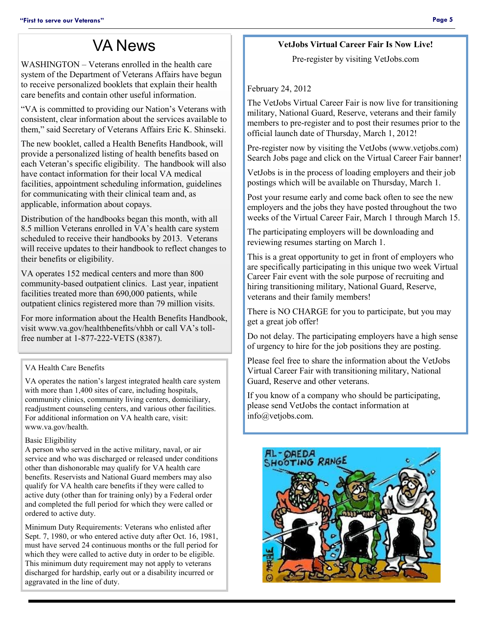# VA News

WASHINGTON – Veterans enrolled in the health care system of the Department of Veterans Affairs have begun to receive personalized booklets that explain their health care benefits and contain other useful information.

"VA is committed to providing our Nation's Veterans with consistent, clear information about the services available to them," said Secretary of Veterans Affairs Eric K. Shinseki.

The new booklet, called a Health Benefits Handbook, will provide a personalized listing of health benefits based on each Veteran's specific eligibility. The handbook will also have contact information for their local VA medical facilities, appointment scheduling information, guidelines for communicating with their clinical team and, as applicable, information about copays.

Distribution of the handbooks began this month, with all 8.5 million Veterans enrolled in VA's health care system scheduled to receive their handbooks by 2013. Veterans will receive updates to their handbook to reflect changes to their benefits or eligibility.

VA operates 152 medical centers and more than 800 community-based outpatient clinics. Last year, inpatient facilities treated more than 690,000 patients, while outpatient clinics registered more than 79 million visits.

For more information about the Health Benefits Handbook, visit www.va.gov/healthbenefits/vhbh or call VA's tollfree number at 1-877-222-VETS (8387).

## VA Health Care Benefits

VA operates the nation's largest integrated health care system with more than 1,400 sites of care, including hospitals, community clinics, community living centers, domiciliary, readjustment counseling centers, and various other facilities. For additional information on VA health care, visit: www.va.gov/health.

## Basic Eligibility

A person who served in the active military, naval, or air service and who was discharged or released under conditions other than dishonorable may qualify for VA health care benefits. Reservists and National Guard members may also qualify for VA health care benefits if they were called to active duty (other than for training only) by a Federal order and completed the full period for which they were called or ordered to active duty.

Minimum Duty Requirements: Veterans who enlisted after Sept. 7, 1980, or who entered active duty after Oct. 16, 1981. must have served 24 continuous months or the full period for which they were called to active duty in order to be eligible. This minimum duty requirement may not apply to veterans discharged for hardship, early out or a disability incurred or aggravated in the line of duty.

## **VetJobs Virtual Career Fair Is Now Live!**

Pre-register by visiting VetJobs.com

February 24, 2012

The VetJobs Virtual Career Fair is now live for transitioning military, National Guard, Reserve, veterans and their family members to pre-register and to post their resumes prior to the official launch date of Thursday, March 1, 2012!

Pre-register now by visiting the VetJobs (www.vetjobs.com) Search Jobs page and click on the Virtual Career Fair banner!

VetJobs is in the process of loading employers and their job postings which will be available on Thursday, March 1.

Post your resume early and come back often to see the new employers and the jobs they have posted throughout the two weeks of the Virtual Career Fair, March 1 through March 15.

The participating employers will be downloading and reviewing resumes starting on March 1.

This is a great opportunity to get in front of employers who are specifically participating in this unique two week Virtual Career Fair event with the sole purpose of recruiting and hiring transitioning military, National Guard, Reserve, veterans and their family members!

There is NO CHARGE for you to participate, but you may get a great job offer!

Do not delay. The participating employers have a high sense of urgency to hire for the job positions they are posting.

Please feel free to share the information about the VetJobs Virtual Career Fair with transitioning military, National Guard, Reserve and other veterans.

If you know of a company who should be participating, please send VetJobs the contact information at info@vetjobs.com.